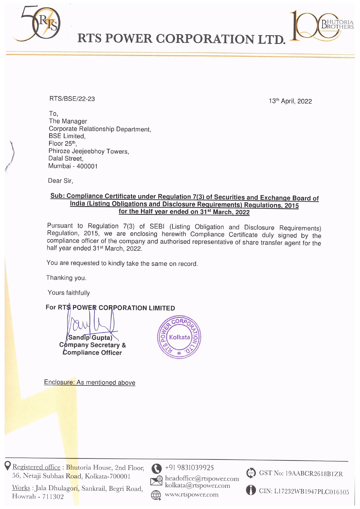

RTS POWER CORPORATION LTI

## RTS/BSE/22-23 13th April, 2022

hutoria<br>Rothers

To, The Manager Corporate Relationship Department, BSE Limited, Floor 25th. Phiroze Jeejeebhoy Towers, Dalal Street. Mumbai - 400001 From Mariague<br>
Corporate Relationship Department,<br>
BSE Limited,<br>
Floro 25<sup>m</sup>,<br>
Phiroze Jerebhoy Towers,<br>
Datal Street,<br>
Mambai - 400001<br>
Dear Sir,<br>
<u>Sub: Compliance Certificate under Regulations and Disc<br>
India (Listing Ob</u>

Dear Sir,

## Sub: Compliance Certificate under Regulation 7(3) of Securities and Exchange Board of India (Listing Obligations and Disclosure Requirements) Regulations, 2015 for the Half year ended on 31<sup>st</sup> March, 2022

Pursuant to Regulation 7(3) of SEBI (Listing Obligation and Disclosure Requirements)<br>Regulation, 2015, we are enclosing herewith Compliance Certificate duly signed by the<br>compliance officer of the company and authorised re

You are requested to kindly take the same on record.

Thanking you.

Yours faithfully

## For RTS POWER CORPORATION LIMITED

Compliance Officer



Enclosure: As mentioned above

Registered office : Bhutoria<br>56, Netaji Subhas Road, Ko<br>Works : Jala Dhulagori, San<br>Howrah - 711302 Pegistered office : Bhutoria House, 2nd Floor,<br>
56, Netaji Subhas Road, Kolkata-700001<br>
Works : Jala Dhulagori, Sankrail, Begri Road,<br>
Howrah - 711302<br>
Howrah - 711302 56, Netaji Subhas Road, Kolkata-700001<br><u>Works</u> : Jala Dhulagori, Sankrail, Begri Road,



 $\bigotimes_{k=1}^{n} 9831039925$ <br>Readoffice@rtspower.com